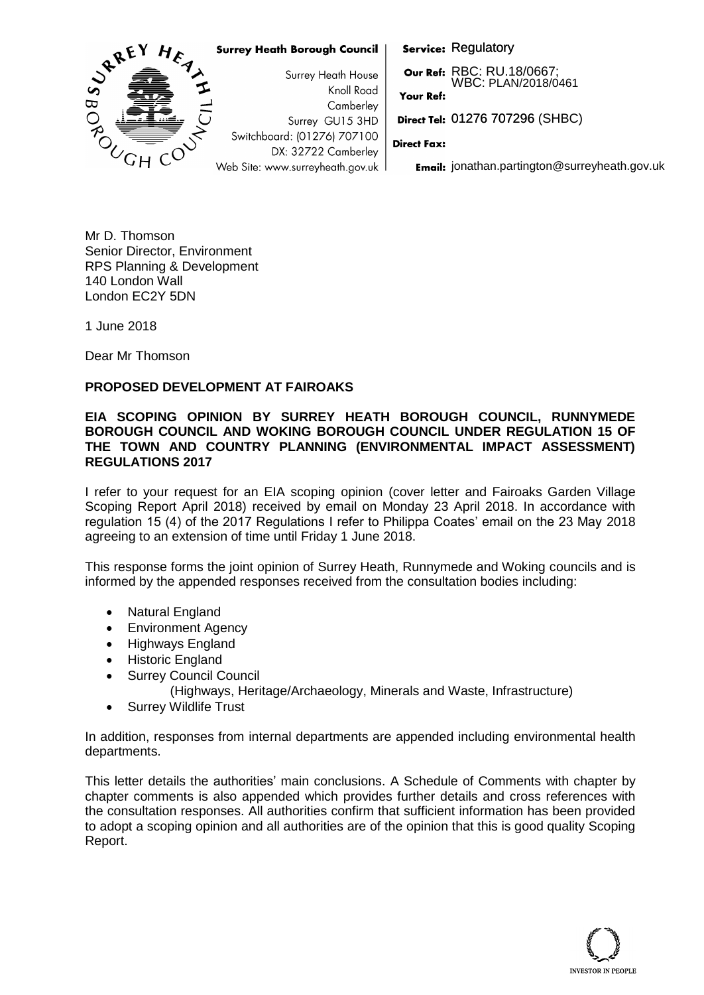

Mr D. Thomson Senior Director, Environment RPS Planning & Development 140 London Wall London EC2Y 5DN

1 June 2018

Dear Mr Thomson

# **PROPOSED DEVELOPMENT AT FAIROAKS**

## **EIA SCOPING OPINION BY SURREY HEATH BOROUGH COUNCIL, RUNNYMEDE BOROUGH COUNCIL AND WOKING BOROUGH COUNCIL UNDER REGULATION 15 OF THE TOWN AND COUNTRY PLANNING (ENVIRONMENTAL IMPACT ASSESSMENT) REGULATIONS 2017**

I refer to your request for an EIA scoping opinion (cover letter and Fairoaks Garden Village Scoping Report April 2018) received by email on Monday 23 April 2018. In accordance with regulation 15 (4) of the 2017 Regulations I refer to Philippa Coates' email on the 23 May 2018 agreeing to an extension of time until Friday 1 June 2018.

This response forms the joint opinion of Surrey Heath, Runnymede and Woking councils and is informed by the appended responses received from the consultation bodies including:

- Natural England
- Environment Agency
- Highways England
- Historic England
- Surrey Council Council
	- (Highways, Heritage/Archaeology, Minerals and Waste, Infrastructure)
- Surrey Wildlife Trust

In addition, responses from internal departments are appended including environmental health departments.

This letter details the authorities' main conclusions. A Schedule of Comments with chapter by chapter comments is also appended which provides further details and cross references with the consultation responses. All authorities confirm that sufficient information has been provided to adopt a scoping opinion and all authorities are of the opinion that this is good quality Scoping Report.

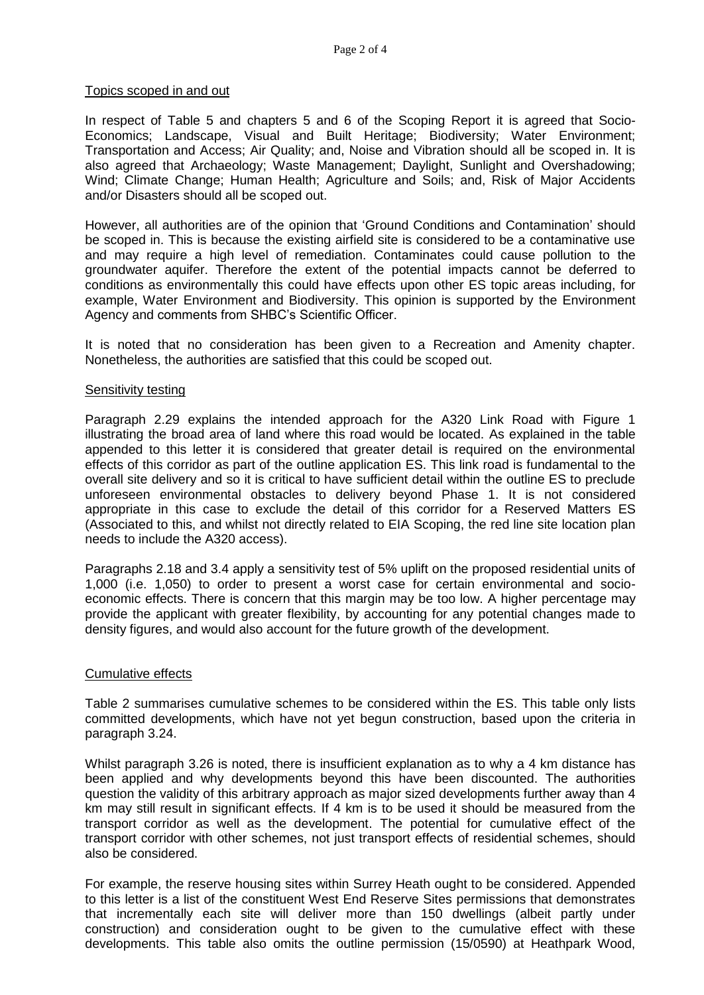## Topics scoped in and out

In respect of Table 5 and chapters 5 and 6 of the Scoping Report it is agreed that Socio-Economics; Landscape, Visual and Built Heritage; Biodiversity; Water Environment; Transportation and Access; Air Quality; and, Noise and Vibration should all be scoped in. It is also agreed that Archaeology; Waste Management; Daylight, Sunlight and Overshadowing; Wind; Climate Change; Human Health; Agriculture and Soils; and, Risk of Major Accidents and/or Disasters should all be scoped out.

However, all authorities are of the opinion that 'Ground Conditions and Contamination' should be scoped in. This is because the existing airfield site is considered to be a contaminative use and may require a high level of remediation. Contaminates could cause pollution to the groundwater aquifer. Therefore the extent of the potential impacts cannot be deferred to conditions as environmentally this could have effects upon other ES topic areas including, for example, Water Environment and Biodiversity. This opinion is supported by the Environment Agency and comments from SHBC's Scientific Officer.

It is noted that no consideration has been given to a Recreation and Amenity chapter. Nonetheless, the authorities are satisfied that this could be scoped out.

### Sensitivity testing

Paragraph 2.29 explains the intended approach for the A320 Link Road with Figure 1 illustrating the broad area of land where this road would be located. As explained in the table appended to this letter it is considered that greater detail is required on the environmental effects of this corridor as part of the outline application ES. This link road is fundamental to the overall site delivery and so it is critical to have sufficient detail within the outline ES to preclude unforeseen environmental obstacles to delivery beyond Phase 1. It is not considered appropriate in this case to exclude the detail of this corridor for a Reserved Matters ES (Associated to this, and whilst not directly related to EIA Scoping, the red line site location plan needs to include the A320 access).

Paragraphs 2.18 and 3.4 apply a sensitivity test of 5% uplift on the proposed residential units of 1,000 (i.e. 1,050) to order to present a worst case for certain environmental and socioeconomic effects. There is concern that this margin may be too low. A higher percentage may provide the applicant with greater flexibility, by accounting for any potential changes made to density figures, and would also account for the future growth of the development.

### Cumulative effects

Table 2 summarises cumulative schemes to be considered within the ES. This table only lists committed developments, which have not yet begun construction, based upon the criteria in paragraph 3.24.

Whilst paragraph 3.26 is noted, there is insufficient explanation as to why a 4 km distance has been applied and why developments beyond this have been discounted. The authorities question the validity of this arbitrary approach as major sized developments further away than 4 km may still result in significant effects. If 4 km is to be used it should be measured from the transport corridor as well as the development. The potential for cumulative effect of the transport corridor with other schemes, not just transport effects of residential schemes, should also be considered.

For example, the reserve housing sites within Surrey Heath ought to be considered. Appended to this letter is a list of the constituent West End Reserve Sites permissions that demonstrates that incrementally each site will deliver more than 150 dwellings (albeit partly under construction) and consideration ought to be given to the cumulative effect with these developments. This table also omits the outline permission (15/0590) at Heathpark Wood,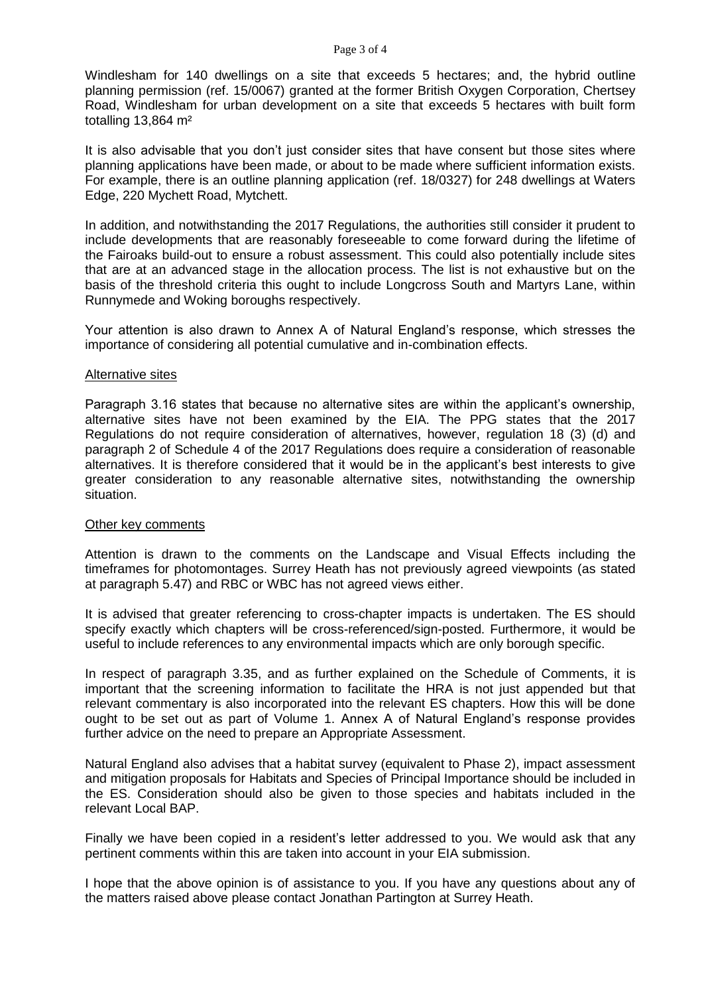Windlesham for 140 dwellings on a site that exceeds 5 hectares; and, the hybrid outline planning permission (ref. 15/0067) granted at the former British Oxygen Corporation, Chertsey Road, Windlesham for urban development on a site that exceeds 5 hectares with built form totalling 13,864 m²

It is also advisable that you don't just consider sites that have consent but those sites where planning applications have been made, or about to be made where sufficient information exists. For example, there is an outline planning application (ref. 18/0327) for 248 dwellings at Waters Edge, 220 Mychett Road, Mytchett.

In addition, and notwithstanding the 2017 Regulations, the authorities still consider it prudent to include developments that are reasonably foreseeable to come forward during the lifetime of the Fairoaks build-out to ensure a robust assessment. This could also potentially include sites that are at an advanced stage in the allocation process. The list is not exhaustive but on the basis of the threshold criteria this ought to include Longcross South and Martyrs Lane, within Runnymede and Woking boroughs respectively.

Your attention is also drawn to Annex A of Natural England's response, which stresses the importance of considering all potential cumulative and in-combination effects.

### Alternative sites

Paragraph 3.16 states that because no alternative sites are within the applicant's ownership, alternative sites have not been examined by the EIA. The PPG states that the 2017 Regulations do not require consideration of alternatives, however, regulation 18 (3) (d) and paragraph 2 of Schedule 4 of the 2017 Regulations does require a consideration of reasonable alternatives. It is therefore considered that it would be in the applicant's best interests to give greater consideration to any reasonable alternative sites, notwithstanding the ownership situation.

### Other key comments

Attention is drawn to the comments on the Landscape and Visual Effects including the timeframes for photomontages. Surrey Heath has not previously agreed viewpoints (as stated at paragraph 5.47) and RBC or WBC has not agreed views either.

It is advised that greater referencing to cross-chapter impacts is undertaken. The ES should specify exactly which chapters will be cross-referenced/sign-posted. Furthermore, it would be useful to include references to any environmental impacts which are only borough specific.

In respect of paragraph 3.35, and as further explained on the Schedule of Comments, it is important that the screening information to facilitate the HRA is not just appended but that relevant commentary is also incorporated into the relevant ES chapters. How this will be done ought to be set out as part of Volume 1. Annex A of Natural England's response provides further advice on the need to prepare an Appropriate Assessment.

Natural England also advises that a habitat survey (equivalent to Phase 2), impact assessment and mitigation proposals for Habitats and Species of Principal Importance should be included in the ES. Consideration should also be given to those species and habitats included in the relevant Local BAP.

Finally we have been copied in a resident's letter addressed to you. We would ask that any pertinent comments within this are taken into account in your EIA submission.

I hope that the above opinion is of assistance to you. If you have any questions about any of the matters raised above please contact Jonathan Partington at Surrey Heath.